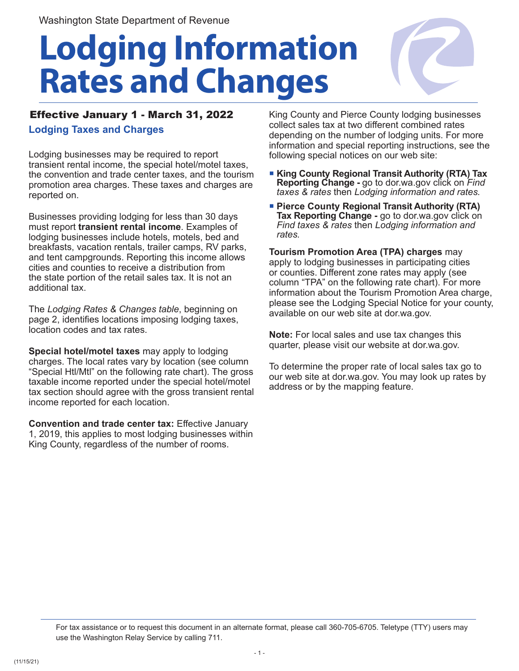# **Lodging Information Rates and Changes**



## Effective January 1 - March 31, 2022 **Lodging Taxes and Charges**

Lodging businesses may be required to report transient rental income, the special hotel/motel taxes, the convention and trade center taxes, and the tourism promotion area charges. These taxes and charges are reported on.

Businesses providing lodging for less than 30 days must report **transient rental income**. Examples of lodging businesses include hotels, motels, bed and breakfasts, vacation rentals, trailer camps, RV parks, and tent campgrounds. Reporting this income allows cities and counties to receive a distribution from the state portion of the retail sales tax. It is not an additional tax.

The *Lodging Rates & Changes table*, beginning on page 2, identifies locations imposing lodging taxes, location codes and tax rates.

**Special hotel/motel taxes** may apply to lodging charges. The local rates vary by location (see column "Special Htl/Mtl" on the following rate chart). The gross taxable income reported under the special hotel/motel tax section should agree with the gross transient rental income reported for each location.

**Convention and trade center tax:** Effective January 1, 2019, this applies to most lodging businesses within King County, regardless of the number of rooms.

King County and Pierce County lodging businesses collect sales tax at two different combined rates depending on the number of lodging units. For more information and special reporting instructions, see the following special notices on our web site:

- **King County Regional Transit Authority (RTA) Tax Reporting Change -** go to dor.wa.gov click on *Find taxes & rates* then *Lodging information and rates.*
- **Pierce County Regional Transit Authority (RTA) Tax Reporting Change -** go to dor.wa.gov click on *Find taxes & rates* then *Lodging information and rates.*

**Tourism Promotion Area (TPA) charges** may apply to lodging businesses in participating cities or counties. Different zone rates may apply (see column "TPA" on the following rate chart). For more information about the Tourism Promotion Area charge, please see the Lodging Special Notice for your county, available on our web site at dor.wa.gov.

**Note:** For local sales and use tax changes this quarter, please visit our website at dor.wa.gov.

To determine the proper rate of local sales tax go to our web site at dor.wa.gov. You may look up rates by address or by the mapping feature.

For tax assistance or to request this document in an alternate format, please call 360-705-6705. Teletype (TTY) users may use the Washington Relay Service by calling 711.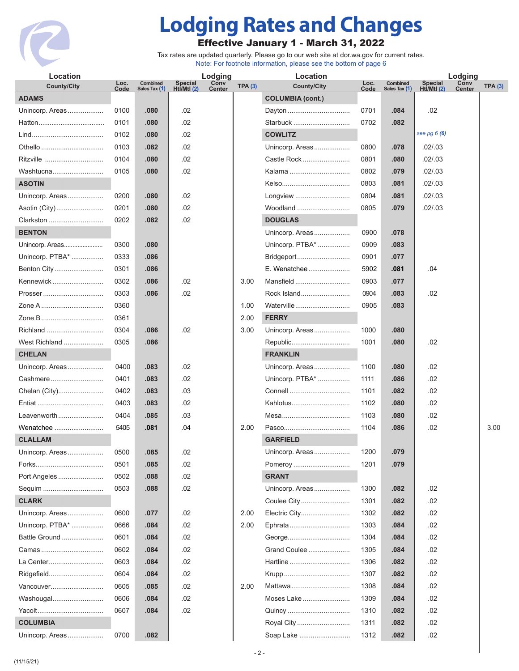

# **Lodging Rates and Changes**

### Effective January 1 - March 31, 2022

Tax rates are updated quarterly. Please go to our web site at dor.wa.gov for current rates. Note: For footnote information, please see the bottom of page 6

| Location           |              |                           |                        | Lodging               |        | Location                |              |                           | Lodging                       |                       |        |  |
|--------------------|--------------|---------------------------|------------------------|-----------------------|--------|-------------------------|--------------|---------------------------|-------------------------------|-----------------------|--------|--|
| <b>County/City</b> | Loc.<br>Code | Combined<br>Sales Tax (1) | Special<br>Htl/Mtl (2) | Conv<br><b>Center</b> | TPA(3) | <b>County/City</b>      | Loc.<br>Code | Combined<br>Sales Tax (1) | <b>Special</b><br>Htl/Mtl (2) | Conv<br><b>Center</b> | TPA(3) |  |
| <b>ADAMS</b>       |              |                           |                        |                       |        | <b>COLUMBIA (cont.)</b> |              |                           |                               |                       |        |  |
| Unincorp. Areas    | 0100         | .080                      | .02                    |                       |        | Dayton                  | 0701         | .084                      | .02                           |                       |        |  |
|                    | 0101         | .080                      | .02                    |                       |        | Starbuck                | 0702         | .082                      |                               |                       |        |  |
|                    | 0102         | .080                      | .02                    |                       |        | <b>COWLITZ</b>          |              |                           | see pg $6(6)$                 |                       |        |  |
| Othello            | 0103         | .082                      | .02                    |                       |        | Unincorp. Areas         | 0800         | .078                      | .02 / .03                     |                       |        |  |
| Ritzville          | 0104         | .080                      | .02                    |                       |        | Castle Rock             | 0801         | .080                      | .02 / .03                     |                       |        |  |
| Washtucna          | 0105         | .080                      | .02                    |                       |        | Kalama                  | 0802         | .079                      | .02 / .03                     |                       |        |  |
| <b>ASOTIN</b>      |              |                           |                        |                       |        |                         | 0803         | .081                      | .02 / .03                     |                       |        |  |
| Unincorp. Areas    | 0200         | .080                      | .02                    |                       |        | Longview                | 0804         | .081                      | .02 / .03                     |                       |        |  |
| Asotin (City)      | 0201         | .080                      | .02                    |                       |        | Woodland                | 0805         | .079                      | .02 / .03                     |                       |        |  |
| Clarkston          | 0202         | .082                      | .02                    |                       |        | <b>DOUGLAS</b>          |              |                           |                               |                       |        |  |
| <b>BENTON</b>      |              |                           |                        |                       |        | Unincorp. Areas         | 0900         | .078                      |                               |                       |        |  |
| Unincorp. Areas    | 0300         | .080                      |                        |                       |        | Unincorp. PTBA*         | 0909         | .083                      |                               |                       |        |  |
| Unincorp. PTBA*    | 0333         | .086                      |                        |                       |        | Bridgeport              | 0901         | .077                      |                               |                       |        |  |
| Benton City        | 0301         | .086                      |                        |                       |        | E. Wenatchee            | 5902         | .081                      | .04                           |                       |        |  |
| Kennewick          | 0302         | .086                      | .02                    |                       | 3.00   | Mansfield               | 0903         | .077                      |                               |                       |        |  |
| Prosser            | 0303         | .086                      | .02                    |                       |        | Rock Island             | 0904         | .083                      | .02                           |                       |        |  |
| Zone A             | 0360         |                           |                        |                       | 1.00   | Waterville              | 0905         | .083                      |                               |                       |        |  |
| Zone B             | 0361         |                           |                        |                       | 2.00   | <b>FERRY</b>            |              |                           |                               |                       |        |  |
| Richland           | 0304         | .086                      | .02                    |                       | 3.00   | Unincorp. Areas         | 1000         | .080                      |                               |                       |        |  |
| West Richland      | 0305         | .086                      |                        |                       |        | Republic                | 1001         | .080                      | .02                           |                       |        |  |
| <b>CHELAN</b>      |              |                           |                        |                       |        | <b>FRANKLIN</b>         |              |                           |                               |                       |        |  |
| Unincorp. Areas    | 0400         | .083                      | .02                    |                       |        | Unincorp. Areas         | 1100         | .080                      | .02                           |                       |        |  |
| Cashmere           | 0401         | .083                      | .02                    |                       |        | Unincorp. PTBA*         | 1111         | .086                      | .02                           |                       |        |  |
| Chelan (City)      | 0402         | .083                      | .03                    |                       |        |                         | 1101         | .082                      | .02                           |                       |        |  |
|                    | 0403         | .083                      | .02                    |                       |        | Kahlotus                | 1102         | .080                      | .02                           |                       |        |  |
| Leavenworth        | 0404         | .085                      | .03                    |                       |        |                         | 1103         | .080                      | .02                           |                       |        |  |
| Wenatchee          | 5405         | .081                      | .04                    |                       | 2.00   |                         | 1104         | .086                      | .02                           |                       | 3.00   |  |
| <b>CLALLAM</b>     |              |                           |                        |                       |        | <b>GARFIELD</b>         |              |                           |                               |                       |        |  |
| Unincorp. Areas    | 0500         | .085                      | .02                    |                       |        | Unincorp. Areas         | 1200         | .079                      |                               |                       |        |  |
|                    | 0501         | .085                      | .02                    |                       |        | Pomeroy                 | 1201         | .079                      |                               |                       |        |  |
| Port Angeles       | 0502         | .088                      | .02                    |                       |        | <b>GRANT</b>            |              |                           |                               |                       |        |  |
| Sequim             | 0503         | .088                      | .02                    |                       |        | Unincorp. Areas         | 1300         | .082                      | .02                           |                       |        |  |
| <b>CLARK</b>       |              |                           |                        |                       |        | Coulee City             | 1301         | .082                      | .02                           |                       |        |  |
| Unincorp. Areas    | 0600         | .077                      | .02                    |                       | 2.00   | Electric City           | 1302         | .082                      | .02                           |                       |        |  |
| Unincorp. PTBA*    | 0666         | .084                      | .02                    |                       | 2.00   | Ephrata                 | 1303         | .084                      | .02                           |                       |        |  |
| Battle Ground      | 0601         | .084                      | .02                    |                       |        |                         | 1304         | .084                      | .02                           |                       |        |  |
| Camas              | 0602         | .084                      | .02                    |                       |        | Grand Coulee            | 1305         | .084                      | .02                           |                       |        |  |
| La Center          | 0603         | .084                      | .02                    |                       |        | Hartline                | 1306         | .082                      | .02                           |                       |        |  |
| Ridgefield         | 0604         | .084                      | .02                    |                       |        |                         | 1307         | .082                      | .02                           |                       |        |  |
| Vancouver          | 0605         | .085                      | .02                    |                       | 2.00   | Mattawa                 | 1308         | .084                      | .02                           |                       |        |  |
| Washougal          | 0606         | .084                      | .02                    |                       |        | Moses Lake              | 1309         | .084                      | .02                           |                       |        |  |
| Yacolt             | 0607         | .084                      | .02                    |                       |        | Quincy                  | 1310         | .082                      | .02                           |                       |        |  |
| <b>COLUMBIA</b>    |              |                           |                        |                       |        | Royal City              | 1311         | .082                      | .02                           |                       |        |  |
| Unincorp. Areas    | 0700         | .082                      |                        |                       |        | Soap Lake               | 1312         | .082                      | .02                           |                       |        |  |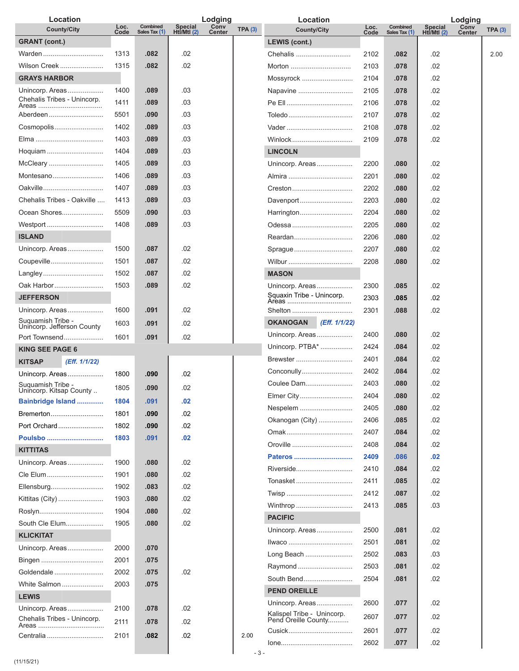| Location                                       |              |                           |                                 | Lodging               |                | Location                                          |              |                           |                        | Lodging               |                |
|------------------------------------------------|--------------|---------------------------|---------------------------------|-----------------------|----------------|---------------------------------------------------|--------------|---------------------------|------------------------|-----------------------|----------------|
| <b>County/City</b>                             | Loc.<br>Code | Combined<br>Sales Tax (1) | <b>Special</b><br>Htİ/Mtl $(2)$ | Conv<br><b>Center</b> | <b>TPA (3)</b> | <b>County/City</b>                                | Loc.<br>Code | Combined<br>Sales Tax (1) | Special<br>Htl/Mtl (2) | Conv<br><b>Center</b> | <b>TPA (3)</b> |
| <b>GRANT</b> (cont.)                           |              |                           |                                 |                       |                | <b>LEWIS (cont.)</b>                              |              |                           |                        |                       |                |
| Warden                                         | 1313         | .082                      | .02                             |                       |                | Chehalis                                          | 2102         | .082                      | .02                    |                       | 2.00           |
| Wilson Creek                                   | 1315         | .082                      | .02                             |                       |                | Morton                                            | 2103         | .078                      | .02                    |                       |                |
| <b>GRAYS HARBOR</b>                            |              |                           |                                 |                       |                | Mossyrock                                         | 2104         | .078                      | .02                    |                       |                |
| Unincorp. Areas                                | 1400         | .089                      | .03                             |                       |                | Napavine                                          | 2105         | .078                      | .02                    |                       |                |
| Chehalis Tribes - Unincorp.<br>Areas           | 1411         | .089                      | .03                             |                       |                |                                                   | 2106         | .078                      | .02                    |                       |                |
| Aberdeen                                       | 5501         | .090                      | .03                             |                       |                | Toledo                                            | 2107         | .078                      | .02                    |                       |                |
| Cosmopolis                                     | 1402         | .089                      | .03                             |                       |                |                                                   | 2108         | .078                      | .02                    |                       |                |
|                                                | 1403         | .089                      | .03                             |                       |                | Winlock                                           | 2109         | .078                      | .02                    |                       |                |
| Hoquiam                                        | 1404         | .089                      | .03                             |                       |                | <b>LINCOLN</b>                                    |              |                           |                        |                       |                |
| McCleary                                       | 1405         | .089                      | .03                             |                       |                | Unincorp. Areas                                   | 2200         | .080                      | .02                    |                       |                |
| Montesano                                      | 1406         | .089                      | .03                             |                       |                |                                                   | 2201         | .080                      | .02                    |                       |                |
| Oakville                                       | 1407         | .089                      | .03                             |                       |                | Creston                                           | 2202         | .080                      | .02                    |                       |                |
| Chehalis Tribes - Oakville                     | 1413         | .089                      | .03                             |                       |                | Davenport                                         | 2203         | .080                      | .02                    |                       |                |
| Ocean Shores                                   | 5509         | .090                      | .03                             |                       |                | Harrington                                        | 2204         | .080                      | .02                    |                       |                |
| Westport                                       | 1408         | .089                      | .03                             |                       |                | Odessa                                            | 2205         | .080                      | .02                    |                       |                |
| <b>ISLAND</b>                                  |              |                           |                                 |                       |                | Reardan                                           | 2206         | .080                      | .02                    |                       |                |
| Unincorp. Areas                                | 1500         | .087                      | .02                             |                       |                | Sprague                                           | 2207         | .080                      | .02                    |                       |                |
| Coupeville                                     | 1501         | .087                      | .02                             |                       |                | Wilbur                                            | 2208         | .080                      | .02                    |                       |                |
| Langley                                        | 1502         | .087                      | .02                             |                       |                | <b>MASON</b>                                      |              |                           |                        |                       |                |
| Oak Harbor                                     | 1503         | .089                      | .02                             |                       |                |                                                   |              |                           |                        |                       |                |
|                                                |              |                           |                                 |                       |                | Unincorp. Areas                                   | 2300         | .085                      | .02                    |                       |                |
| <b>JEFFERSON</b>                               |              |                           |                                 |                       |                |                                                   | 2303         | .085                      | .02                    |                       |                |
| Unincorp. Areas<br>Suquamish Tribe -           | 1600         | .091                      | .02                             |                       |                | Shelton                                           | 2301         | .088                      | .02                    |                       |                |
| Unincorp. Jefferson County                     | 1603         | .091                      | .02                             |                       |                | <b>OKANOGAN</b><br>(Eff. 1/1/22)                  |              |                           |                        |                       |                |
| Port Townsend                                  | 1601         | .091                      | .02                             |                       |                | Unincorp. Areas                                   | 2400         | .080                      | .02                    |                       |                |
| <b>KING SEE PAGE 6</b>                         |              |                           |                                 |                       |                | Unincorp. PTBA*                                   | 2424         | .084                      | .02                    |                       |                |
| <b>KITSAP</b><br>(Eff. 1/1/22)                 |              |                           |                                 |                       |                | Brewster                                          | 2401         | .084                      | .02                    |                       |                |
| Unincorp. Areas                                | 1800         | .090                      | .02                             |                       |                | Conconully                                        | 2402         | .084                      | .02                    |                       |                |
| Suguamish Tribe -<br>Unincorp. Kitsap County   | 1805         | .090                      | .02                             |                       |                | Coulee Dam                                        | 2403         | .080                      | .02                    |                       |                |
| Bainbridge Island                              | 1804         | .091                      | .02                             |                       |                | Elmer City                                        | 2404         | .080                      | .02                    |                       |                |
| Bremerton                                      | 1801         | .090                      | .02                             |                       |                | Nespelem                                          | 2405         | .080                      | .02                    |                       |                |
| Port Orchard                                   | 1802         | .090                      | .02                             |                       |                | Okanogan (City)                                   | 2406         | .085                      | .02                    |                       |                |
| Poulsbo                                        | 1803         | .091                      | .02                             |                       |                |                                                   | 2407         | .084                      | .02                    |                       |                |
| <b>KITTITAS</b>                                |              |                           |                                 |                       |                | Oroville                                          | 2408         | .084                      | .02                    |                       |                |
| Unincorp. Areas                                | 1900         | .080                      | .02                             |                       |                | Pateros                                           | 2409         | .086                      | .02                    |                       |                |
| Cle Elum                                       | 1901         | .080                      | .02                             |                       |                | Riverside                                         | 2410         | .084                      | .02                    |                       |                |
| Ellensburg                                     | 1902         | .083                      | .02                             |                       |                | Tonasket                                          | 2411         | .085                      | .02                    |                       |                |
| Kittitas (City)                                | 1903         | .080                      | .02                             |                       |                |                                                   | 2412         | .087                      | .02                    |                       |                |
| Roslyn                                         | 1904         | .080                      | .02                             |                       |                | Winthrop                                          | 2413         | .085                      | .03                    |                       |                |
| South Cle Elum                                 | 1905         | .080                      | .02                             |                       |                | <b>PACIFIC</b>                                    |              |                           |                        |                       |                |
| <b>KLICKITAT</b>                               |              |                           |                                 |                       |                | Unincorp. Areas                                   | 2500         | .081                      | .02                    |                       |                |
| Unincorp. Areas                                | 2000         | .070                      |                                 |                       |                |                                                   | 2501         | .081                      | .02                    |                       |                |
|                                                | 2001         | .075                      |                                 |                       |                | Long Beach                                        | 2502         | .083                      | .03                    |                       |                |
| Bingen                                         |              |                           |                                 |                       |                | Raymond                                           | 2503         | .081                      | .02                    |                       |                |
| Goldendale                                     | 2002         | .075                      | .02                             |                       |                | South Bend                                        | 2504         | .081                      | .02                    |                       |                |
| White Salmon                                   | 2003         | .075                      |                                 |                       |                | <b>PEND OREILLE</b>                               |              |                           |                        |                       |                |
| <b>LEWIS</b>                                   |              |                           |                                 |                       |                | Unincorp. Areas                                   | 2600         | .077                      | .02                    |                       |                |
| Unincorp. Areas<br>Chehalis Tribes - Unincorp. | 2100         | .078                      | .02                             |                       |                | Kalispel Tribe - Unincorp.<br>Pend Oreille County | 2607         | .077                      | .02                    |                       |                |
| Areas                                          | 2111         | .078                      | .02                             |                       |                | Cusick                                            | 2601         | .077                      | .02                    |                       |                |
| Centralia                                      | 2101         | .082                      | .02                             |                       | 2.00           |                                                   |              |                           |                        |                       |                |
|                                                |              |                           |                                 |                       |                |                                                   | 2602         | .077                      | .02                    |                       |                |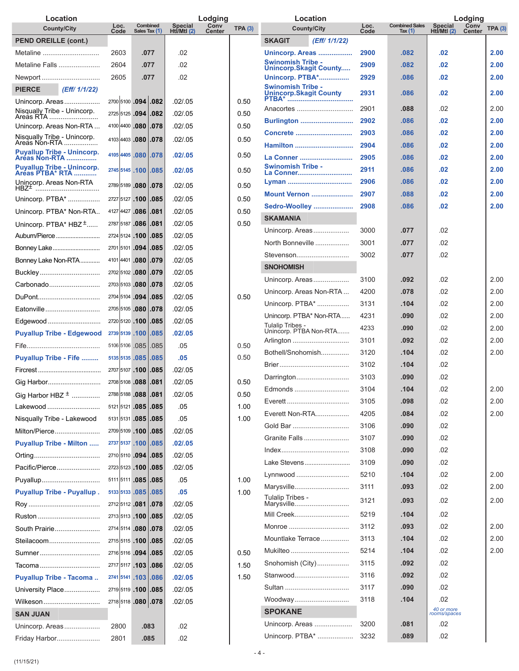| Location                                                   |              |                           |                                 | Lodging               |        | Location                                           |              |                                    |                             | Lodging               |        |
|------------------------------------------------------------|--------------|---------------------------|---------------------------------|-----------------------|--------|----------------------------------------------------|--------------|------------------------------------|-----------------------------|-----------------------|--------|
| <b>County/City</b>                                         | Loc.<br>Code | Combined<br>Sales Tax (1) | <b>Special</b><br>Htl/Mtl $(2)$ | Conv<br><b>Center</b> | TPA(3) | <b>County/City</b>                                 | Loc.<br>Code | <b>Combined Sales</b><br>Tax $(1)$ | <b>Special</b><br>Ht/MtI(2) | Conv<br><b>Center</b> | TPA(3) |
| <b>PEND OREILLE (cont.)</b>                                |              |                           |                                 |                       |        | <b>SKAGIT</b><br>(Eff/ 1/1/22)                     |              |                                    |                             |                       |        |
| Metaline                                                   | 2603         | .077                      | .02                             |                       |        | <b>Unincorp. Areas </b>                            | 2900         | .082                               | .02                         |                       | 2.00   |
| Metaline Falls                                             | 2604         | .077                      | .02                             |                       |        | <b>Swinomish Tribe -</b><br>Unincorp.Skagit County | 2909         | .082                               | .02                         |                       | 2.00   |
| Newport                                                    | 2605         | .077                      | .02                             |                       |        | <b>Unincorp. PTBA*</b>                             | 2929         | .086                               | .02                         |                       | 2.00   |
| <b>PIERCE</b><br>(Eff/ 1/1/22)                             |              |                           |                                 |                       |        | Swinomish Tribe -<br>Unincorp.Skagit County        | 2931         | .086                               | .02                         |                       | 2.00   |
| Unincorp. Areas<br>Nisqually Tribe - Unincorp.             |              | 2700 5100 .094 .082       | .02/.05                         |                       | 0.50   | Anacortes                                          | 2901         | .088                               | .02                         |                       | 2.00   |
| Areas RTA                                                  |              | 2725 5125 .094 .082       | .02/0.05                        |                       | 0.50   | <b>Burlington</b>                                  | 2902         | .086                               | .02                         |                       | 2.00   |
| Unincorp. Areas Non-RTA                                    |              | 4100 4400 .080 .078       | .02 / .05                       |                       | 0.50   | Concrete                                           | 2903         | .086                               | .02                         |                       | 2.00   |
| Nisqually Tribe - Unincorp.                                |              | 4103 4403 .080 .078       | .02/.05                         |                       | 0.50   | Hamilton                                           | 2904         | .086                               | .02                         |                       | 2.00   |
| <b>Puyallup Tribe - Unincorp.</b><br><b>Areas Non-RTA </b> |              | 4105 4405 .080 .078       | .02/.05                         |                       | 0.50   | La Conner                                          | 2905         | .086                               | .02                         |                       | 2.00   |
| <b>Puyallup Tribe - Unincorp.</b><br>Areas PTBA* RTA       |              | 2745 5145 .100 .085       | .02/0.05                        |                       | 0.50   | <b>Swinomish Tribe -</b><br>La Conner              | 2911         | .086                               | .02                         |                       | 2.00   |
| Unincorp. Areas Non-RTA                                    |              | 2789 5189 .080 .078       | .02/.05                         |                       | 0.50   |                                                    | 2906         | .086                               | .02                         |                       | 2.00   |
| HBZ <sup>±</sup> ………………………………<br>Unincorp. PTBA*           |              | 2727 5127 .100 .085       | .02/.05                         |                       | 0.50   | <b>Mount Vernon </b>                               | 2907         | .088                               | .02                         |                       | 2.00   |
| Unincorp. PTBA* Non-RTA                                    |              | 4127 4427 .086 .081       | .02/.05                         |                       | 0.50   | Sedro-Woolley                                      | 2908         | .086                               | .02                         |                       | 2.00   |
|                                                            |              | 2787 5187 .086 .081       | .02/.05                         |                       | 0.50   | <b>SKAMANIA</b>                                    |              |                                    |                             |                       |        |
| Unincorp. $PTBA* HBZ^{\pm}$                                |              |                           | .02/0.05                        |                       |        | Unincorp. Areas                                    | 3000         | .077                               | .02                         |                       |        |
| Auburn/Pierce                                              |              | 2724 5124 .100 .085       | .02/.05                         |                       |        | North Bonneville                                   | 3001         | .077                               | .02                         |                       |        |
| Bonney Lake                                                |              | 2701 5101 .094 .085       |                                 |                       |        | Stevenson                                          | 3002         | .077                               | .02                         |                       |        |
| Bonney Lake Non-RTA                                        |              | 4101 4401 .080 .079       | .02/.05                         |                       |        | <b>SNOHOMISH</b>                                   |              |                                    |                             |                       |        |
| Buckley                                                    |              | 2702 5102 .080 .079       | .02/.05                         |                       |        | Unincorp. Areas                                    | 3100         | .092                               | .02                         |                       | 2.00   |
| Carbonado                                                  |              | 2703 5103 .080 .078       | .02/.05                         |                       |        | Unincorp. Areas Non-RTA                            | 4200         | .078                               | .02                         |                       | 2.00   |
| DuPont                                                     |              | 2704 5104 .094 .085       | .02/0.05                        |                       | 0.50   | Unincorp. PTBA*                                    | 3131         | .104                               | .02                         |                       | 2.00   |
| Eatonville                                                 |              | 2705 5105 .080 .078       | .02/.05                         |                       |        | Unincorp. PTBA* Non-RTA                            | 4231         | .090                               | .02                         |                       | 2.00   |
| Edgewood                                                   |              | 2720 5120 .100 .085       | .02 / .05                       |                       |        | Tulalip Tribes -<br>Unincorp. PTBA Non-RTA         | 4233         | .090                               | .02                         |                       | 2.00   |
| <b>Puyallup Tribe - Edgewood</b>                           |              | 2739 5139 .100 .085       | .02/.05                         |                       |        | Arlington                                          | 3101         | .092                               | .02                         |                       | 2.00   |
|                                                            |              | 5106 5106 .085 .085       | .05                             |                       | 0.50   | Bothell/Snohomish                                  | 3120         | .104                               | .02                         |                       | 2.00   |
| <b>Puyallup Tribe - Fife </b>                              |              | 5135 5135 .085 .085       | .05                             |                       | 0.50   |                                                    | 3102         | .104                               | .02                         |                       |        |
|                                                            |              | 2707 5107 .100 .085       | .02 / .05                       |                       |        | Darrington                                         | 3103         | .090                               | .02                         |                       |        |
| Gig Harbor                                                 |              | 2708 5108 .088 .081       | .02/.05                         |                       | 0.50   | Edmonds                                            | 3104         | .104                               | .02                         |                       | 2.00   |
| Gig Harbor HBZ $^{\pm}$                                    |              | 2788 5188 .088 .081       | .02 / .05                       |                       | 0.50   | Everett                                            | 3105         | .098                               | .02                         |                       | 2.00   |
| Lakewood                                                   |              | 5121 5121 .085 .085       | .05                             |                       | 1.00   | Everett Non-RTA                                    | 4205         | .084                               | .02                         |                       | 2.00   |
| Nisqually Tribe - Lakewood                                 |              | 5131 5131 .085 .085       | .05                             |                       | 1.00   | Gold Bar                                           | 3106         | .090                               | .02                         |                       |        |
| Milton/Pierce                                              |              | 2709 5109 .100 .085       | .02 / .05                       |                       |        | Granite Falls                                      | 3107         | .090                               | .02                         |                       |        |
| <b>Puyallup Tribe - Milton </b>                            |              | 2737 5137 .100 .085       | .02/0.05                        |                       |        |                                                    | 3108         | .090                               | .02                         |                       |        |
| Orting                                                     |              | 2710 5110 .094 .085       | .02 / .05                       |                       |        | Lake Stevens                                       | 3109         | .090                               | .02                         |                       |        |
| Pacific/Pierce                                             |              | 2723 5123 .100 .085       | .02 / .05                       |                       |        | Lynnwood                                           | 5210         | .104                               | .02                         |                       | 2.00   |
| Puyallup                                                   |              | 5111 5111 .085 .085       | .05                             |                       | 1.00   | Marysville                                         | 3111         | .093                               | .02                         |                       | 2.00   |
| <b>Puyallup Tribe - Puyallup.</b>                          |              | 5133 5133 .085 .085       | .05                             |                       | 1.00   | Tulalip Tribes -                                   |              |                                    |                             |                       |        |
|                                                            |              | 2712 5112 .081 .078       | .02 / .05                       |                       |        | Marysville                                         | 3121         | .093                               | .02                         |                       | 2.00   |
| Ruston                                                     |              | 2713 5113 .100 .085       | .02 / .05                       |                       |        | Mill Creek                                         | 5219         | .104                               | .02                         |                       |        |
| South Prairie                                              |              | 2714 5114 .080 .078       | .02 / .05                       |                       |        | Monroe                                             | 3112         | .093                               | .02                         |                       | 2.00   |
| Steilacoom                                                 |              | 2715 5115 .100 .085       | .02 / .05                       |                       |        | Mountlake Terrace                                  | 3113         | .104                               | .02                         |                       | 2.00   |
| Sumner                                                     |              | 2716 5116 .094 .085       | .02 / .05                       |                       | 0.50   | Mukilteo                                           | 5214         | .104                               | .02                         |                       | 2.00   |
| Tacoma                                                     |              | 2717 5117 .103 .086       | .02 / .05                       |                       | 1.50   | Snohomish (City)                                   | 3115         | .092                               | .02                         |                       |        |
| <b>Puyallup Tribe - Tacoma</b>                             |              | 2741 5141 .103 .086       | .02/.05                         |                       | 1.50   | Stanwood                                           | 3116         | .092                               | .02                         |                       |        |
| University Place                                           |              | 2719 5119 .100 .085       | .02 / .05                       |                       |        |                                                    | 3117         | .090                               | .02                         |                       |        |
| Wilkeson                                                   |              | 2718 5118 .080 .078       | .02 / .05                       |                       |        | Woodway                                            | 3118         | .104                               | .02                         |                       |        |
| <b>SAN JUAN</b>                                            |              |                           |                                 |                       |        | <b>SPOKANE</b>                                     |              |                                    | 40 or more<br>rooms/spaces  |                       |        |
| Unincorp. Areas                                            | 2800         | .083                      | .02                             |                       |        | Unincorp. Areas                                    | 3200         | .081                               | .02                         |                       |        |
| Friday Harbor                                              | 2801         | .085                      | .02                             |                       |        | Unincorp. PTBA*                                    | 3232         | .089                               | .02                         |                       |        |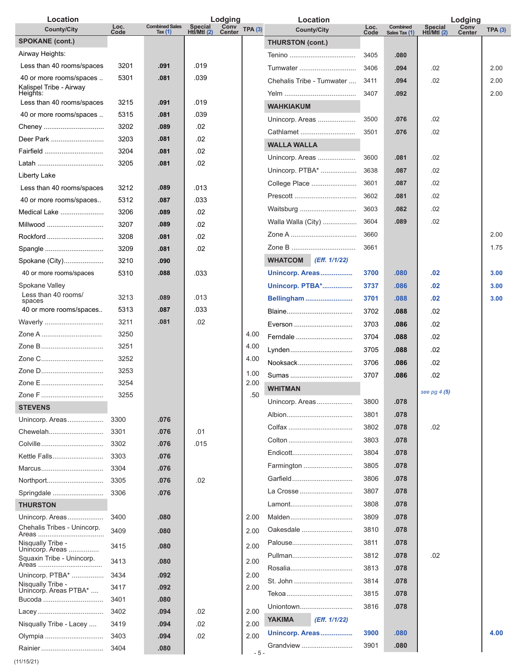| Loc.<br><b>Combined Sales</b><br><b>Special</b><br>Combined<br>Loc.                                                                 |                                                 |        |
|-------------------------------------------------------------------------------------------------------------------------------------|-------------------------------------------------|--------|
| Conv<br>Center<br>TPA(3)<br><b>County/City</b><br><b>County/City</b><br>Hti/Mtl $(2)$<br>Code<br>Tax $(1)$<br>Code<br>Sales Tax (1) | Conv<br>Special<br>Htl/Mtl (2)<br><b>Center</b> | TPA(3) |
| <b>SPOKANE (cont.)</b><br><b>THURSTON (cont.)</b>                                                                                   |                                                 |        |
| Airway Heights:<br>3405<br>.080                                                                                                     |                                                 |        |
| Less than 40 rooms/spaces<br>.091<br>.019<br>3201<br>3406<br>.094<br>Tumwater                                                       | .02                                             | 2.00   |
| 40 or more rooms/spaces<br>5301<br>.039<br>.081<br>Chehalis Tribe - Tumwater<br>.094<br>3411<br>Kalispel Tribe - Airway             | .02                                             | 2.00   |
| Heights:<br>.092<br>3407                                                                                                            |                                                 | 2.00   |
| 3215<br>.091<br>.019<br>Less than 40 rooms/spaces<br><b>WAHKIAKUM</b>                                                               |                                                 |        |
| 5315<br>.039<br>40 or more rooms/spaces<br>.081<br>Unincorp. Areas<br>3500<br>.076                                                  | .02                                             |        |
| 3202<br>.089<br>.02<br>Cheney<br>Cathlamet<br>3501<br>.076                                                                          | .02                                             |        |
| 3203<br>Deer Park<br>.02<br>.081<br><b>WALLA WALLA</b>                                                                              |                                                 |        |
| 3204<br>.081<br>.02<br>Fairfield<br>Unincorp. Areas<br>3600<br>.081                                                                 | .02                                             |        |
| .02<br>3205<br>.081<br>Unincorp. PTBA*<br>3638<br>.087                                                                              | .02                                             |        |
| Liberty Lake<br>College Place<br>.087<br>3601                                                                                       | .02                                             |        |
| .013<br>Less than 40 rooms/spaces<br>3212<br>.089<br>3602<br>.081                                                                   | .02                                             |        |
| 40 or more rooms/spaces<br>5312<br>.033<br>.087<br>Waitsburg<br>.082<br>3603                                                        | .02                                             |        |
| Medical Lake<br>3206<br>.089<br>.02<br>3604<br>.089<br>Walla Walla (City)                                                           | .02                                             |        |
| .02<br>3207<br>.089<br>Millwood                                                                                                     |                                                 | 2.00   |
| 3660<br>3208<br>.02<br>Rockford<br>.081                                                                                             |                                                 |        |
| 3661<br>.02<br>3209<br>Spangle<br>.081                                                                                              |                                                 | 1.75   |
| <b>WHATCOM</b><br>(Eff. 1/1/22)<br>3210<br>Spokane (City)<br>.090                                                                   |                                                 |        |
| 40 or more rooms/spaces<br>5310<br>.088<br>.033<br>Unincorp. Areas<br>3700<br>.080                                                  | .02                                             | 3.00   |
| Spokane Valley<br><b>Unincorp. PTBA*</b><br>3737<br>.086<br>Less than 40 rooms/                                                     | .02                                             | 3.00   |
| 3213<br>.013<br>.089<br>Bellingham<br>3701<br>.088<br>spaces                                                                        | .02                                             | 3.00   |
| 40 or more rooms/spaces<br>5313<br>.087<br>.033<br>3702<br>.088<br>Blaine                                                           | .02                                             |        |
| 3211<br>.02<br>Waverly<br>.081<br>3703<br>.086<br>Everson                                                                           | .02                                             |        |
| 3250<br>4.00<br>Zone A<br>Ferndale<br>3704<br>.088                                                                                  | .02                                             |        |
| Zone B<br>3251<br>4.00<br>Lynden<br>3705<br>.088                                                                                    | .02                                             |        |
| Zone C<br>3252<br>4.00<br>Nooksack<br>3706<br>.086                                                                                  | .02                                             |        |
| 3253<br>1.00<br>3707<br>.086<br>Sumas                                                                                               | .02                                             |        |
| 3254<br>2.00<br><b>WHITMAN</b>                                                                                                      |                                                 |        |
| 3255<br>Zone F<br>.50<br>Unincorp. Areas<br>3800<br>.078                                                                            | see pg $4(5)$                                   |        |
| <b>STEVENS</b><br>3801<br>.078                                                                                                      |                                                 |        |
| 3300<br>.076<br>Unincorp. Areas<br>.078<br>3802                                                                                     | .02                                             |        |
| 3301<br>.01<br>Chewelah<br>.076<br>3803<br>Colton<br>.078                                                                           |                                                 |        |
| 3302<br>.076<br>.015<br>Colville<br>3804                                                                                            |                                                 |        |
| .078<br>Kettle Falls<br>3303<br>.076                                                                                                |                                                 |        |
| 3805<br>.078<br>Farmington<br>3304<br>.076<br>Marcus                                                                                |                                                 |        |
| .078<br>Garfield<br>3806<br>3305<br>.02<br>Northport<br>.076                                                                        |                                                 |        |
| 3807<br>.078<br>La Crosse<br>Springdale<br>3306<br>.076                                                                             |                                                 |        |
| 3808<br>.078<br><b>THURSTON</b><br>Lamont                                                                                           |                                                 |        |
| 3400<br>Malden<br>3809<br>.078<br>Unincorp. Areas<br>.080<br>2.00                                                                   |                                                 |        |
| Chehalis Tribes - Unincorp.<br>Oakesdale<br>3810<br>.078<br>3409<br>2.00<br>.080                                                    |                                                 |        |
| .078<br>Palouse<br>3811<br>Nisqually Tribe -<br>2.00<br>3415<br>.080<br>Unincorp. Areas                                             |                                                 |        |
| .078<br>3812<br>Pullman<br>Squaxin Tribe - Unincorp.<br>3413<br>.080<br>2.00<br>Areas<br>.078<br>Rosalia<br>3813                    | .02                                             |        |
| 3434<br>.092<br>2.00<br>Unincorp. PTBA*                                                                                             |                                                 |        |
| 3814<br>St. John<br>.078<br>Nisqually Tribe -<br>3417<br>.092<br>2.00<br>Unincorp. Areas PTBA*                                      |                                                 |        |
| .078<br>3815<br>Bucoda<br>3401<br>.080                                                                                              |                                                 |        |
| 3816<br>.078<br>Uniontown<br>3402<br>.094<br>.02<br>2.00                                                                            |                                                 |        |
| <b>YAKIMA</b><br>(Eff. 1/1/22)<br>3419<br>.02<br>2.00<br>Nisqually Tribe - Lacey<br>.094                                            |                                                 |        |
| Unincorp. Areas<br>3900<br>.080<br>2.00<br>3403<br>.02<br>Olympia<br>.094                                                           |                                                 | 4.00   |
| 3901<br>.080<br>Grandview<br>3404<br>.080<br>Rainier<br>$-5-$                                                                       |                                                 |        |

(11/15/21)